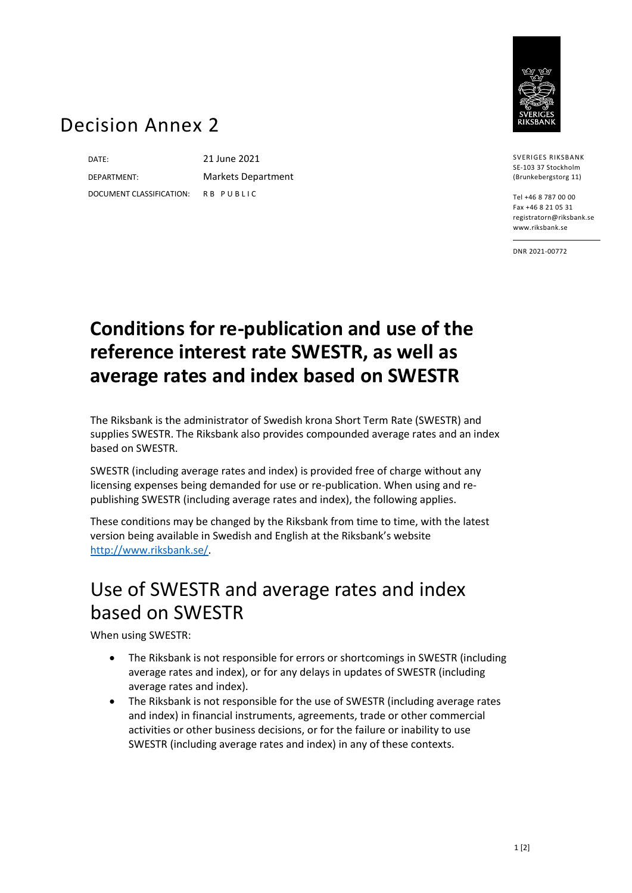

## Decision Annex 2

DATE: 21 June 2021 DOCUMENT CLASSIFICATION: R B P U B L I C

DEPARTMENT: Markets Department

SVERIGES RIKSBANK SE-103 37 Stockholm (Brunkebergstorg 11)

Tel +46 8 787 00 00 Fax +46 8 21 05 31 registratorn@riksbank.se www.riksbank.se

DNR 2021-00772

## **Conditions for re-publication and use of the reference interest rate SWESTR, as well as average rates and index based on SWESTR**

The Riksbank is the administrator of Swedish krona Short Term Rate (SWESTR) and supplies SWESTR. The Riksbank also provides compounded average rates and an index based on SWESTR.

SWESTR (including average rates and index) is provided free of charge without any licensing expenses being demanded for use or re-publication. When using and republishing SWESTR (including average rates and index), the following applies.

These conditions may be changed by the Riksbank from time to time, with the latest version being available in Swedish and English at the Riksbank's website [http://www.riksbank.se/.](http://www.riksbank.se/)

## Use of SWESTR and average rates and index based on SWESTR

When using SWESTR:

- The Riksbank is not responsible for errors or shortcomings in SWESTR (including average rates and index), or for any delays in updates of SWESTR (including average rates and index).
- The Riksbank is not responsible for the use of SWESTR (including average rates and index) in financial instruments, agreements, trade or other commercial activities or other business decisions, or for the failure or inability to use SWESTR (including average rates and index) in any of these contexts.